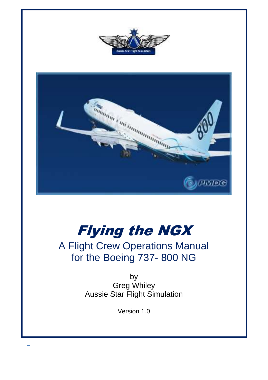



# Flying the NGX

# A Flight Crew Operations Manual for the Boeing 737- 800 NG

by Greg Whiley Aussie Star Flight Simulation

Version 1.0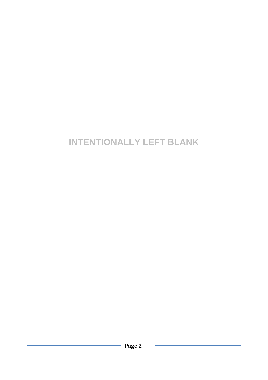# **INTENTIONALLY LEFT BLANK**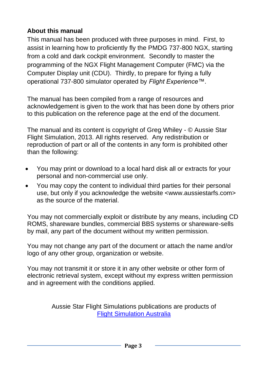#### **About this manual**

This manual has been produced with three purposes in mind. First, to assist in learning how to proficiently fly the PMDG 737-800 NGX, starting from a cold and dark cockpit environment. Secondly to master the programming of the NGX Flight Management Computer (FMC) via the Computer Display unit (CDU). Thirdly, to prepare for flying a fully operational 737-800 simulator operated by *Flight Experience™*.

The manual has been compiled from a range of resources and acknowledgement is given to the work that has been done by others prior to this publication on the reference page at the end of the document.

The manual and its content is copyright of Greg Whiley - © Aussie Star Flight Simulation, 2013. All rights reserved. Any redistribution or reproduction of part or all of the contents in any form is prohibited other than the following:

- You may print or download to a local hard disk all or extracts for your personal and non-commercial use only.
- You may copy the content to individual third parties for their personal use, but only if you acknowledge the website <www.aussiestarfs.com> as the source of the material.

You may not commercially exploit or distribute by any means, including CD ROMS, shareware bundles, commercial BBS systems or shareware-sells by mail, any part of the document without my written permission.

You may not change any part of the document or attach the name and/or logo of any other group, organization or website.

You may not transmit it or store it in any other website or other form of electronic retrieval system, except without my express written permission and in agreement with the conditions applied.

> Aussie Star Flight Simulations publications are products of [Flight Simulation Australia](http://www.flightsimaus.com.au/)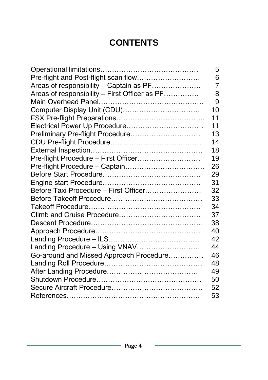# **CONTENTS**

|                                               | 5              |
|-----------------------------------------------|----------------|
| Pre-flight and Post-flight scan flow          | 6              |
| Areas of responsibility - Captain as PF       | $\overline{7}$ |
| Areas of responsibility - First Officer as PF | 8              |
|                                               | 9              |
| Computer Display Unit (CDU)                   | 10             |
|                                               | 11             |
| Electrical Power Up Procedure                 | 11             |
| Preliminary Pre-flight Procedure              | 13             |
|                                               | 14             |
|                                               | 18             |
| Pre-flight Procedure - First Officer          | 19             |
| Pre-flight Procedure - Captain                | 26             |
|                                               | 29             |
|                                               | 31             |
| Before Taxi Procedure - First Officer         | 32             |
|                                               | 33             |
|                                               | 34             |
|                                               | 37             |
|                                               | 38             |
|                                               | 40             |
|                                               | 42             |
| Landing Procedure - Using VNAV                | 44             |
| Go-around and Missed Approach Procedure       | 46             |
|                                               | 48             |
|                                               | 49             |
|                                               | 50             |
|                                               | 52             |
|                                               | 53             |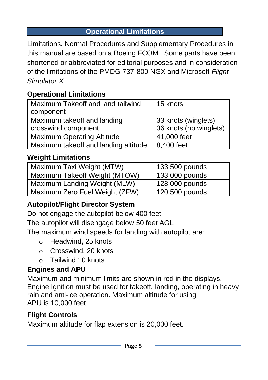#### **Operational Limitations**

Limitations**,** Normal Procedures and Supplementary Procedures in this manual are based on a Boeing FCOM. Some parts have been shortened or abbreviated for editorial purposes and in consideration of the limitations of the PMDG 737-800 NGX and Microsoft *Flight Simulator X*.

## **Operational Limitations**

| Maximum Takeoff and land tailwind    | 15 knots               |
|--------------------------------------|------------------------|
| component                            |                        |
| Maximum takeoff and landing          | 33 knots (winglets)    |
| crosswind component                  | 36 knots (no winglets) |
| <b>Maximum Operating Altitude</b>    | 41,000 feet            |
| Maximum takeoff and landing altitude | 8,400 feet             |

# **Weight Limitations**

| Maximum Taxi Weight (MTW)      | 133,500 pounds |
|--------------------------------|----------------|
| Maximum Takeoff Weight (MTOW)  | 133,000 pounds |
| Maximum Landing Weight (MLW)   | 128,000 pounds |
| Maximum Zero Fuel Weight (ZFW) | 120,500 pounds |

# **Autopilot/Flight Director System**

Do not engage the autopilot below 400 feet.

The autopilot will disengage below 50 feet AGL

The maximum wind speeds for landing with autopilot are:

- o Headwind**,** 25 knots
- o Crosswind, 20 knots
- $\circ$  Tailwind 10 knots

# **Engines and APU**

Maximum and minimum limits are shown in red in the displays. Engine Ignition must be used for takeoff, landing, operating in heavy rain and anti-ice operation. Maximum altitude for using APU is 10,000 feet.

# **Flight Controls**

Maximum altitude for flap extension is 20,000 feet.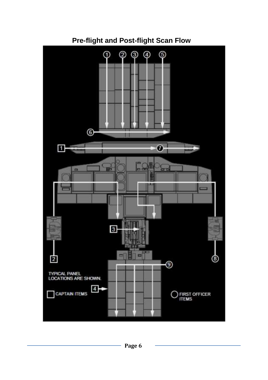

#### **Pre-flight and Post-flight Scan Flow**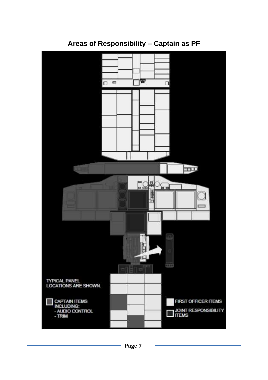

**Areas of Responsibility – Captain as PF**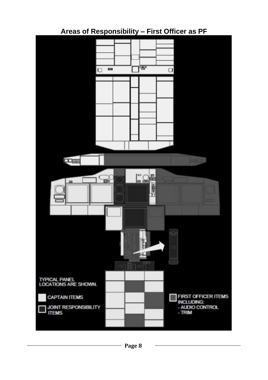

**Areas of Responsibility – First Officer as PF**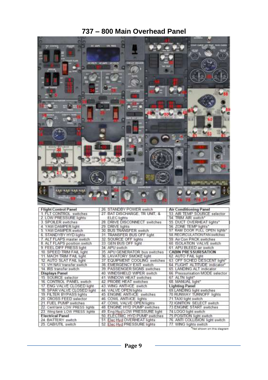#### **737 – 800 Main Overhead Panel**



that choose no this disconce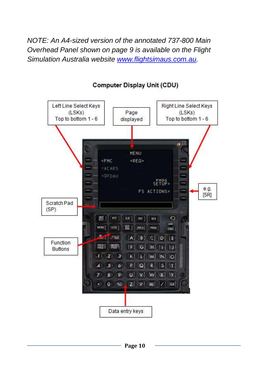*NOTE: An A4-sized version of the annotated 737-800 Main Overhead Panel shown on page 9 is available on the Flight Simulation Australia website [www.flightsimaus.com.au.](http://www.flightsimaus.com.au/)*



**Computer Display Unit (CDU)**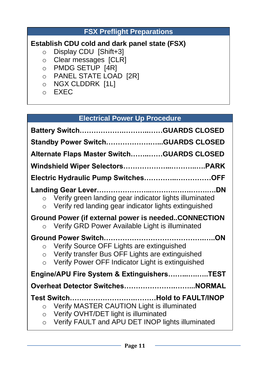#### **FSX Preflight Preparations**

#### **Establish CDU cold and dark panel state (FSX)**

- o Display CDU [Shift+3]
- o Clear messages [CLR]
- o PMDG SETUP [4R]
- o PANEL STATE LOAD [2R]
- o NGX CLDDRK [1L]
- o EXEC

**Electrical Power Up Procedure**

| Standby Power SwitchGUARDS CLOSED                                                                                                                                                 |  |
|-----------------------------------------------------------------------------------------------------------------------------------------------------------------------------------|--|
| Alternate Flaps Master SwitchGUARDS CLOSED                                                                                                                                        |  |
|                                                                                                                                                                                   |  |
| Electric Hydraulic Pump SwitchesOFF                                                                                                                                               |  |
| Verify green landing gear indicator lights illuminated<br>$\circ$<br>Verify red landing gear indicator lights extinguished<br>$\Omega$                                            |  |
| Ground Power (if external power is neededCONNECTION<br>Verify GRD Power Available Light is illuminated<br>$\Omega$                                                                |  |
| Verify Source OFF Lights are extinguished<br>$\circ$<br>Verify transfer Bus OFF Lights are extinguished<br>$\circ$<br>Verify Power OFF Indicator Light is extinguished<br>$\circ$ |  |
| Engine/APU Fire System & ExtinguishersTEST                                                                                                                                        |  |
|                                                                                                                                                                                   |  |
| Verify MASTER CAUTION Light is illuminated<br>$\Omega$<br>Verify OVHT/DET light is illuminated<br>$\Omega$<br>Verify FAULT and APU DET INOP lights illuminated<br>$\circ$         |  |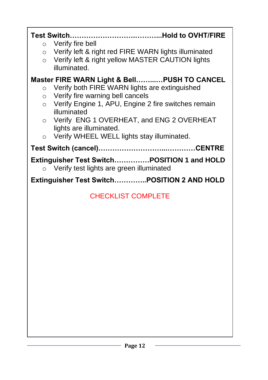| o Verify fire bell                                                                                                                                                                                                                                                                                                                                                                  |
|-------------------------------------------------------------------------------------------------------------------------------------------------------------------------------------------------------------------------------------------------------------------------------------------------------------------------------------------------------------------------------------|
| o Verify left & right red FIRE WARN lights illuminated<br>○ Verify left & right yellow MASTER CAUTION lights<br>illuminated.                                                                                                                                                                                                                                                        |
| Master FIRE WARN Light & BellPUSH TO CANCEL<br>Verify both FIRE WARN lights are extinguished<br>$\circ$<br>Verify fire warning bell cancels<br>$\circ$<br>Verify Engine 1, APU, Engine 2 fire switches remain<br>$\circ$<br>illuminated<br>Verify ENG 1 OVERHEAT, and ENG 2 OVERHEAT<br>$\circ$<br>lights are illuminated.<br>Verify WHEEL WELL lights stay illuminated.<br>$\circ$ |
|                                                                                                                                                                                                                                                                                                                                                                                     |
| Extinguisher Test SwitchPOSITION 1 and HOLD<br>Verify test lights are green illuminated<br>$\circ$                                                                                                                                                                                                                                                                                  |
| Extinguisher Test SwitchPOSITION 2 AND HOLD                                                                                                                                                                                                                                                                                                                                         |
| <b>CHECKLIST COMPLETE</b>                                                                                                                                                                                                                                                                                                                                                           |
|                                                                                                                                                                                                                                                                                                                                                                                     |
|                                                                                                                                                                                                                                                                                                                                                                                     |
|                                                                                                                                                                                                                                                                                                                                                                                     |
|                                                                                                                                                                                                                                                                                                                                                                                     |
|                                                                                                                                                                                                                                                                                                                                                                                     |
|                                                                                                                                                                                                                                                                                                                                                                                     |
|                                                                                                                                                                                                                                                                                                                                                                                     |
|                                                                                                                                                                                                                                                                                                                                                                                     |
|                                                                                                                                                                                                                                                                                                                                                                                     |
|                                                                                                                                                                                                                                                                                                                                                                                     |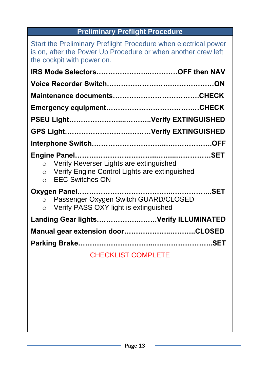#### **Preliminary Preflight Procedure**

Start the Preliminary Preflight Procedure when electrical power is on, after the Power Up Procedure or when another crew left the cockpit with power on.

| o Verify Reverser Lights are extinguished<br>Verify Engine Control Lights are extinguished<br>$\Omega$<br>○ EEC Switches ON |
|-----------------------------------------------------------------------------------------------------------------------------|
| Passenger Oxygen Switch GUARD/CLOSED<br>Verify PASS OXY light is extinguished<br>$\Omega$                                   |
| Landing Gear lightsVerify ILLUMINATED                                                                                       |
| Manual gear extension doorCLOSED                                                                                            |
|                                                                                                                             |
| <b>CHECKLIST COMPLETE</b>                                                                                                   |
|                                                                                                                             |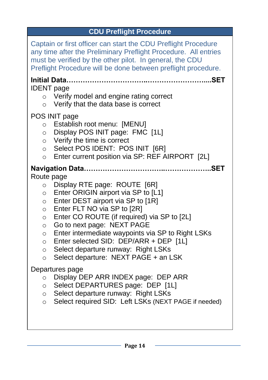#### **CDU Preflight Procedure**

Captain or first officer can start the CDU Preflight Procedure any time after the Preliminary Preflight Procedure. All entries must be verified by the other pilot. In general, the CDU Preflight Procedure will be done between preflight procedure.

**Initial Data……………………………..……………………....SET**

IDENT page

- o Verify model and engine rating correct
- o Verify that the data base is correct

POS INIT page

- o Establish root menu: [MENU]
- o Display POS INIT page: FMC [1L]
- o Verify the time is correct
- o Select POS IDENT: POS INIT [6R]
- o Enter current position via SP: REF AIRPORT [2L]

## **Navigation Data……………………………..………………..SET**

Route page

- o Display RTE page: ROUTE [6R]
- o Enter ORIGIN airport via SP to [L1]
- o Enter DEST airport via SP to [1R]
- o Enter FLT NO via SP to [2R]
- o Enter CO ROUTE (if required) via SP to [2L]
- o Go to next page: NEXT PAGE
- o Enter intermediate waypoints via SP to Right LSKs
- o Enter selected SID: DEP/ARR + DEP [1L]
- o Select departure runway: Right LSKs
- o Select departure: NEXT PAGE + an LSK

#### Departures page

- o Display DEP ARR INDEX page: DEP ARR
- o Select DEPARTURES page: DEP [1L]
- o Select departure runway: Right LSKs
- o Select required SID: Left LSKs (NEXT PAGE if needed)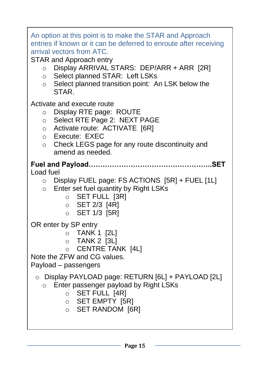An option at this point is to make the STAR and Approach entries if known or it can be deferred to enroute after receiving arrival vectors from ATC. STAR and Approach entry o Display ARRIVAL STARS: DEP/ARR + ARR [2R] o Select planned STAR: Left LSKs o Select planned transition point: An LSK below the STAR. Activate and execute route o Display RTE page: ROUTE o Select RTE Page 2: NEXT PAGE o Activate route: ACTIVATE [6R] o Execute: EXEC o Check LEGS page for any route discontinuity and amend as needed. **Fuel and Payload……………………………………………..SET** Load fuel o Display FUEL page: FS ACTIONS [5R] + FUEL [1L] o Enter set fuel quantity by Right LSKs o SET FULL [3R] o SET 2/3 [4R] o SET 1/3 [5R] OR enter by SP entry  $\circ$  TANK 1 [2L]  $O$  TANK 2 [3L] o CENTRE TANK [4L] Note the ZFW and CG values. Payload – passengers o Display PAYLOAD page: RETURN [6L] + PAYLOAD [2L] o Enter passenger payload by Right LSKs o SET FULL [4R] o SET EMPTY [5R] o SET RANDOM [6R]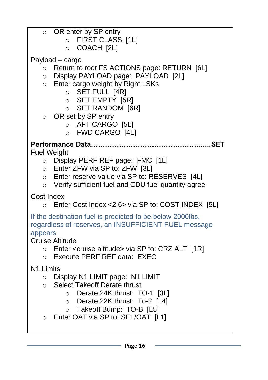o OR enter by SP entry

- o FIRST CLASS [1L]
- o COACH [2L]

Payload – cargo

- o Return to root FS ACTIONS page: RETURN [6L]
- o Display PAYLOAD page: PAYLOAD [2L]
- o Enter cargo weight by Right LSKs
	- $\circ$  SET FULL [4R]
	- o SET EMPTY [5R]
	- o SET RANDOM [6R]
- o OR set by SP entry
	- o AFT CARGO [5L]
	- o FWD CARGO [4L]

#### **Performance Data………………………………………..…..SET** Fuel Weight

- o Display PERF REF page: FMC [1L]
- o Enter ZFW via SP to: ZFW [3L]
- o Enter reserve value via SP to: RESERVES [4L]
- o Verify sufficient fuel and CDU fuel quantity agree

#### Cost Index

o Enter Cost Index <2.6> via SP to: COST INDEX [5L]

If the destination fuel is predicted to be below 2000lbs, regardless of reserves, an INSUFFICIENT FUEL message appears

#### Cruise Altitude

- o Enter <cruise altitude> via SP to: CRZ ALT [1R]
- o Execute PERF REF data: EXEC

#### N1 Limits

- o Display N1 LIMIT page: N1 LIMIT
- o Select Takeoff Derate thrust
	- o Derate 24K thrust: TO-1 [3L]
	- o Derate 22K thrust: To-2 [L4]
	- o Takeoff Bump: TO-B [L5]
- o Enter OAT via SP to: SEL/OAT [L1]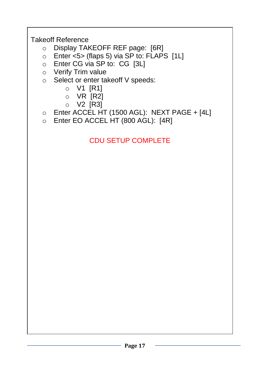Takeoff Reference

- o Display TAKEOFF REF page: [6R]
- o Enter <5> (flaps 5) via SP to: FLAPS [1L]
- o Enter CG via SP to: CG [3L]
- o Verify Trim value
- o Select or enter takeoff V speeds:
	- o V1 [R1]
	- $\circ$  VR  $\overline{R2}$
	- o V2 [R3]
- $\circ$  Enter ACCEL HT (1500 AGL): NEXT PAGE + [4L]
- o Enter EO ACCEL HT (800 AGL): [4R]

# CDU SETUP COMPLETE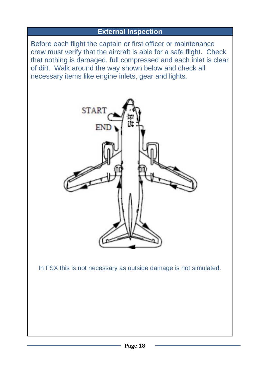#### **External Inspection**

Before each flight the captain or first officer or maintenance crew must verify that the aircraft is able for a safe flight. Check that nothing is damaged, full compressed and each inlet is clear of dirt. Walk around the way shown below and check all necessary items like engine inlets, gear and lights.



In FSX this is not necessary as outside damage is not simulated.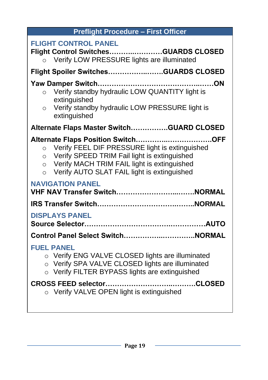| <b>Preflight Procedure - First Officer</b>                                                                                                                                                                                                                                |
|---------------------------------------------------------------------------------------------------------------------------------------------------------------------------------------------------------------------------------------------------------------------------|
| <b>FLIGHT CONTROL PANEL</b><br>Flight Control SwitchesGUARDS CLOSED<br>Verify LOW PRESSURE lights are illuminated<br>$\circ$                                                                                                                                              |
| Flight Spoiler SwitchesGUARDS CLOSED                                                                                                                                                                                                                                      |
| ON<br>Verify standby hydraulic LOW QUANTITY light is<br>$\circ$<br>extinguished<br>Verify standby hydraulic LOW PRESSURE light is<br>$\circ$<br>extinguished                                                                                                              |
| Alternate Flaps Master SwitchGUARD CLOSED                                                                                                                                                                                                                                 |
| Verify FEEL DIF PRESSURE light is extinguished<br>$\circ$<br>Verify SPEED TRIM Fail light is extinguished<br>$\circ$<br>Verify MACH TRIM FAIL light is extinguished<br>$\circ$<br>Verify AUTO SLAT FAIL light is extinguished<br>$\circ$                                  |
| <b>NAVIGATION PANEL</b>                                                                                                                                                                                                                                                   |
|                                                                                                                                                                                                                                                                           |
| <b>DISPLAYS PANEL</b>                                                                                                                                                                                                                                                     |
|                                                                                                                                                                                                                                                                           |
| <b>FUEL PANEL</b><br>o Verify ENG VALVE CLOSED lights are illuminated<br>o Verify SPA VALVE CLOSED lights are illuminated<br>Verify FILTER BYPASS lights are extinguished<br>$\circ$<br>CLOSED<br><b>CROSS FEED selector</b><br>o Verify VALVE OPEN light is extinguished |

÷.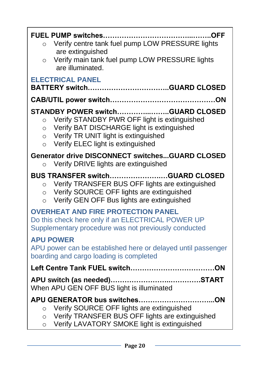| FUEL PUMP switches<br>……OFF<br>Verify centre tank fuel pump LOW PRESSURE lights<br>$\circ$<br>are extinguished<br>Verify main tank fuel pump LOW PRESSURE lights<br>$\circ$<br>are illuminated.                                                |
|------------------------------------------------------------------------------------------------------------------------------------------------------------------------------------------------------------------------------------------------|
| <b>ELECTRICAL PANEL</b>                                                                                                                                                                                                                        |
|                                                                                                                                                                                                                                                |
| STANDBY POWER switchGUARD CLOSED<br>Verify STANDBY PWR OFF light is extinguished<br>$\circ$<br>$\circ$<br>Verify BAT DISCHARGE light is extinguished<br>o Verify TR UNIT light is extinguished<br>Verify ELEC light is extinguished<br>$\circ$ |
| <b>Generator drive DISCONNECT switchesGUARD CLOSED</b><br>Verify DRIVE lights are extinguished<br>$\circ$                                                                                                                                      |
| BUS TRANSFER switchGUARD CLOSED<br>o Verify TRANSFER BUS OFF lights are extinguished<br>o Verify SOURCE OFF lights are extinguished<br>Verify GEN OFF Bus lights are extinguished<br>$\circ$                                                   |
| <b>OVERHEAT AND FIRE PROTECTION PANEL</b><br>Do this check here only if an ELECTRICAL POWER UP<br>Supplementary procedure was not previously conducted                                                                                         |
| <b>APU POWER</b><br>APU power can be established here or delayed until passenger<br>boarding and cargo loading is completed                                                                                                                    |
|                                                                                                                                                                                                                                                |
| When APU GEN OFF BUS light is illuminated                                                                                                                                                                                                      |
| <b>APU GENERATOR bus switches</b><br>ON<br>Verify SOURCE OFF lights are extinguished<br>$\circ$<br>Verify TRANSFER BUS OFF lights are extinguished<br>$\circ$<br>Verify LAVATORY SMOKE light is extinguished<br>O                              |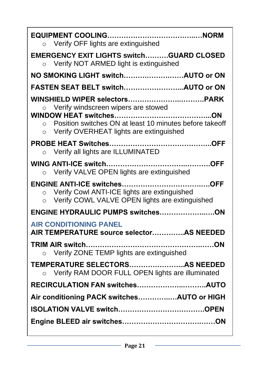| EQUIPMENT COOLING<br>NORM<br>Verify OFF lights are extinguished<br>$\circ$                                                                                        |
|-------------------------------------------------------------------------------------------------------------------------------------------------------------------|
| <b>EMERGENCY EXIT LIGHTS switchGUARD CLOSED</b><br>o Verify NOT ARMED light is extinguished                                                                       |
|                                                                                                                                                                   |
| FASTEN SEAT BELT switchAUTO or ON                                                                                                                                 |
| o Verify windscreen wipers are stowed<br>Position switches ON at least 10 minutes before takeoff<br>$\circ$<br>Verify OVERHEAT lights are extinguished<br>$\circ$ |
| O Verify all lights are ILLUMINATED                                                                                                                               |
| <b>WING ANTI-ICE switch</b><br>OFF<br>o Verify VALVE OPEN lights are extinguished                                                                                 |
| Verify Cowl ANTI-ICE lights are extinguished<br>$\circ$<br>Verify COWL VALVE OPEN lights are extinguished<br>$\circ$                                              |
| ENGINE HYDRAULIC PUMPS switchesON                                                                                                                                 |
| <b>AIR CONDITIONING PANEL</b><br>AIR TEMPERATURE source selectorAS NEEDED                                                                                         |
| <b>TRIM AIR switch</b><br>. ON<br>o Verify ZONE TEMP lights are extinguished                                                                                      |
| TEMPERATURE SELECTORSAS NEEDED<br>Verify RAM DOOR FULL OPEN lights are illuminated<br>$\circ$                                                                     |
|                                                                                                                                                                   |
| Air conditioning PACK switchesAUTO or HIGH                                                                                                                        |
|                                                                                                                                                                   |
|                                                                                                                                                                   |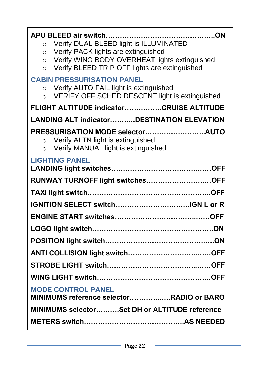| Verify DUAL BLEED light is ILLUMINATED<br>$\circ$<br>Verify PACK lights are extinguished<br>$\circ$<br>Verify WING BODY OVERHEAT lights extinguished<br>$\circ$<br>Verify BLEED TRIP OFF lights are extinguished<br>$\circ$ |
|-----------------------------------------------------------------------------------------------------------------------------------------------------------------------------------------------------------------------------|
| <b>CABIN PRESSURISATION PANEL</b><br>Verify AUTO FAIL light is extinguished<br>$\circ$<br>VERIFY OFF SCHED DESCENT light is extinguished<br>$\circ$                                                                         |
| FLIGHT ALTITUDE indicatorCRUISE ALTITUDE                                                                                                                                                                                    |
| <b>LANDING ALT indicatorDESTINATION ELEVATION</b>                                                                                                                                                                           |
| Verify ALTN light is extinguished<br>$\circ$<br>Verify MANUAL light is extinguished<br>$\circ$                                                                                                                              |
| <b>LIGHTING PANEL</b>                                                                                                                                                                                                       |
| RUNWAY TURNOFF light switchesOFF                                                                                                                                                                                            |
|                                                                                                                                                                                                                             |
|                                                                                                                                                                                                                             |
|                                                                                                                                                                                                                             |
|                                                                                                                                                                                                                             |
|                                                                                                                                                                                                                             |
|                                                                                                                                                                                                                             |
|                                                                                                                                                                                                                             |
|                                                                                                                                                                                                                             |
| <b>MODE CONTROL PANEL</b><br>MINIMUMS reference selectorRADIO or BARO                                                                                                                                                       |
| MINIMUMS selectorSet DH or ALTITUDE reference                                                                                                                                                                               |
|                                                                                                                                                                                                                             |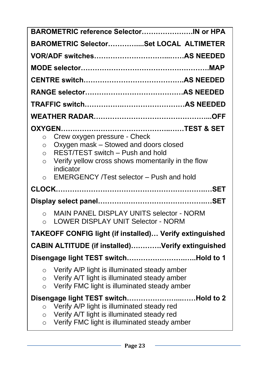| BAROMETRIC SelectorSet LOCAL ALTIMETER                                                                                                                                                                                  |
|-------------------------------------------------------------------------------------------------------------------------------------------------------------------------------------------------------------------------|
|                                                                                                                                                                                                                         |
|                                                                                                                                                                                                                         |
|                                                                                                                                                                                                                         |
|                                                                                                                                                                                                                         |
|                                                                                                                                                                                                                         |
|                                                                                                                                                                                                                         |
| Crew oxygen pressure - Check<br>$\circ$<br>Oxygen mask - Stowed and doors closed<br>$\circ$<br>REST/TEST switch - Push and hold<br>$\circ$<br>Verify yellow cross shows momentarily in the flow<br>$\circ$<br>indicator |
| EMERGENCY /Test selector - Push and hold<br>$\circ$                                                                                                                                                                     |
|                                                                                                                                                                                                                         |
|                                                                                                                                                                                                                         |
| MAIN PANEL DISPLAY UNITS selector - NORM<br>$\circ$<br>LOWER DISPLAY UNIT Selector - NORM<br>$\circ$                                                                                                                    |
| <b>TAKEOFF CONFIG light (if installed) Verify extinguished</b>                                                                                                                                                          |
| CABIN ALTITUDE (if installed)Verify extinguished                                                                                                                                                                        |
| Disengage light TEST switchHold to 1                                                                                                                                                                                    |
| Verify A/P light is illuminated steady amber<br>$\circ$<br>Verify A/T light is illuminated steady amber<br>$\circ$<br>Verify FMC light is illuminated steady amber<br>$\circ$                                           |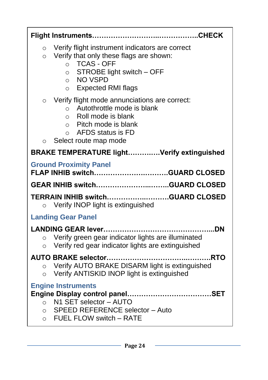| CHECK<br>Flight Instruments                                                                                                                                                                                                            |
|----------------------------------------------------------------------------------------------------------------------------------------------------------------------------------------------------------------------------------------|
| Verify flight instrument indicators are correct<br>$\circ$<br>o Verify that only these flags are shown:<br><b>TCAS - OFF</b><br>$\circ$<br>STROBE light switch - OFF<br>$\circ$<br>○ NO VSPD<br>○ Expected RMI flags                   |
| Verify flight mode annunciations are correct:<br>$\circ$<br>Autothrottle mode is blank<br>$\circ$<br>Roll mode is blank<br>$\circ$<br>$\circ$ Pitch mode is blank<br>AFDS status is FD<br>$\Omega$<br>Select route map mode<br>$\circ$ |
| BRAKE TEMPERATURE lightVerify extinguished                                                                                                                                                                                             |
| <b>Ground Proximity Panel</b><br>FLAP INHIB switchGUARD CLOSED                                                                                                                                                                         |
|                                                                                                                                                                                                                                        |
| TERRAIN INHIB switchGUARD CLOSED<br>Verify INOP light is extinguished<br>$\circ$                                                                                                                                                       |
| <b>Landing Gear Panel</b>                                                                                                                                                                                                              |
| <b>LANDING GEAR lever</b><br>. DN<br>Verify green gear indicator lights are illuminated<br>$\circ$<br>Verify red gear indicator lights are extinguished<br>$\circ$                                                                     |
| o Verify AUTO BRAKE DISARM light is extinguished<br>Verify ANTISKID INOP light is extinguished<br>$\circ$                                                                                                                              |
| <b>Engine Instruments</b><br>$\circ$ N1 SET selector - AUTO<br>SPEED REFERENCE selector - Auto<br>$\circ$<br>FUEL FLOW switch - RATE<br>O                                                                                              |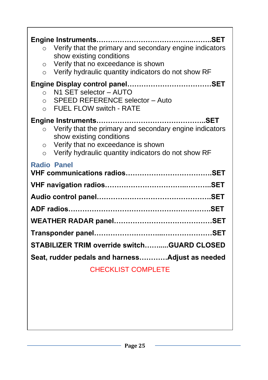| ……SET<br>Verify that the primary and secondary engine indicators<br>$\circ$<br>show existing conditions<br>Verify that no exceedance is shown<br>$\circ$<br>Verify hydraulic quantity indicators do not show RF<br>$\circ$ |
|----------------------------------------------------------------------------------------------------------------------------------------------------------------------------------------------------------------------------|
| N1 SET selector - AUTO<br>$\circ$<br>SPEED REFERENCE selector - Auto<br>$\circ$<br><b>FUEL FLOW switch - RATE</b><br>$\circ$                                                                                               |
| Verify that the primary and secondary engine indicators<br>$\circ$<br>show existing conditions<br>Verify that no exceedance is shown<br>$\circ$<br>Verify hydraulic quantity indicators do not show RF<br>$\circ$          |
| <b>Radio Panel</b>                                                                                                                                                                                                         |
|                                                                                                                                                                                                                            |
|                                                                                                                                                                                                                            |
|                                                                                                                                                                                                                            |
|                                                                                                                                                                                                                            |
|                                                                                                                                                                                                                            |
| STABILIZER TRIM override switchGUARD CLOSED                                                                                                                                                                                |
| Seat, rudder pedals and harnessAdjust as needed                                                                                                                                                                            |
| <b>CHECKLIST COMPLETE</b>                                                                                                                                                                                                  |
|                                                                                                                                                                                                                            |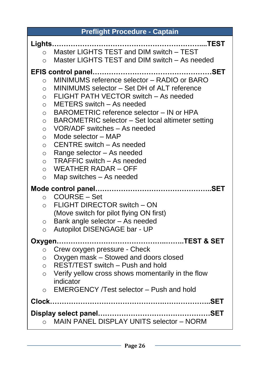#### **Preflight Procedure - Captain**

|                                                                           | TEST<br>Lights                                                                                                                                                                                                                                                                                     |
|---------------------------------------------------------------------------|----------------------------------------------------------------------------------------------------------------------------------------------------------------------------------------------------------------------------------------------------------------------------------------------------|
| $\circ$                                                                   | Master LIGHTS TEST and DIM switch - TEST                                                                                                                                                                                                                                                           |
| $\circ$                                                                   | Master LIGHTS TEST and DIM switch - As needed                                                                                                                                                                                                                                                      |
| $\circ$<br>$\circ$<br>$\circ$<br>$\circ$<br>$\circ$<br>$\circ$<br>$\circ$ | MINIMUMS reference selector - RADIO or BARO<br>MINIMUMS selector - Set DH of ALT reference<br>FLIGHT PATH VECTOR switch - As needed<br>METERS switch - As needed<br>BAROMETRIC reference selector - IN or HPA<br>BAROMETRIC selector - Set local altimeter setting<br>VOR/ADF switches - As needed |
| $\circ$                                                                   | Mode selector - MAP                                                                                                                                                                                                                                                                                |
| $\circ$                                                                   | CENTRE switch - As needed                                                                                                                                                                                                                                                                          |
| $\circ$<br>$\circ$                                                        | Range selector - As needed<br>TRAFFIC switch - As needed                                                                                                                                                                                                                                           |
| $\circ$                                                                   | <b>WEATHER RADAR - OFF</b>                                                                                                                                                                                                                                                                         |
| $\circ$                                                                   | Map switches - As needed                                                                                                                                                                                                                                                                           |
|                                                                           |                                                                                                                                                                                                                                                                                                    |
|                                                                           |                                                                                                                                                                                                                                                                                                    |
| $\circ$<br>$\circ$<br>$\circ$<br>$\circ$                                  | <b>COURSE - Set</b><br>FLIGHT DIRECTOR switch - ON<br>(Move switch for pilot flying ON first)<br>Bank angle selector - As needed<br>Autopilot DISENGAGE bar - UP                                                                                                                                   |
|                                                                           |                                                                                                                                                                                                                                                                                                    |
| $\circ$<br>$\circ$<br>$\circ$<br>O<br>$\circ$                             | Crew oxygen pressure - Check<br>Oxygen mask - Stowed and doors closed<br>REST/TEST switch - Push and hold<br>Verify yellow cross shows momentarily in the flow<br>indicator<br>EMERGENCY /Test selector - Push and hold                                                                            |
|                                                                           |                                                                                                                                                                                                                                                                                                    |
|                                                                           |                                                                                                                                                                                                                                                                                                    |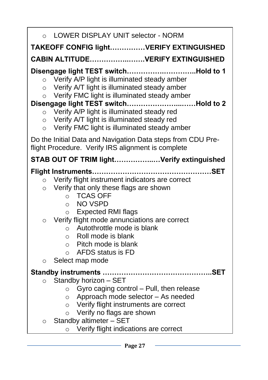| <b>LOWER DISPLAY UNIT selector - NORM</b><br>$\circ$                                                                                                                                                                                                                                                                                                                                                                                    |
|-----------------------------------------------------------------------------------------------------------------------------------------------------------------------------------------------------------------------------------------------------------------------------------------------------------------------------------------------------------------------------------------------------------------------------------------|
| TAKEOFF CONFIG lightVERIFY EXTINGUISHED                                                                                                                                                                                                                                                                                                                                                                                                 |
|                                                                                                                                                                                                                                                                                                                                                                                                                                         |
| Disengage light TEST switchHold to 1<br>o Verify A/P light is illuminated steady amber<br>Verify A/T light is illuminated steady amber<br>$\circ$<br>Verify FMC light is illuminated steady amber<br>$\circ$<br>Disengage light TEST switchHold to 2<br>Verify A/P light is illuminated steady red<br>$\circ$<br>Verify A/T light is illuminated steady red<br>$\circ$<br>Verify FMC light is illuminated steady amber<br>$\circ$       |
| Do the Initial Data and Navigation Data steps from CDU Pre-<br>flight Procedure. Verify IRS alignment is complete                                                                                                                                                                                                                                                                                                                       |
| STAB OUT OF TRIM lightVerify extinguished                                                                                                                                                                                                                                                                                                                                                                                               |
| Verify flight instrument indicators are correct<br>$\circ$<br>o Verify that only these flags are shown<br><b>TCAS OFF</b><br>$\Omega$<br><b>NO VSPD</b><br>$\circ$<br>o Expected RMI flags<br>Verify flight mode annunciations are correct<br>$\circ$<br>Autothrottle mode is blank<br>$\circ$<br>Roll mode is blank<br>$\circ$<br>Pitch mode is blank<br>$\circ$<br><b>AFDS</b> status is FD<br>$\Omega$<br>Select map mode<br>$\circ$ |
| Standby horizon - SET<br>$\circ$<br>Gyro caging control - Pull, then release<br>$\circ$<br>Approach mode selector - As needed<br>$\circ$<br>Verify flight instruments are correct<br>$\circ$<br>Verify no flags are shown<br>$\circ$<br>Standby altimeter - SET<br>$\circ$<br>Verify flight indications are correct<br>$\circ$                                                                                                          |

ä,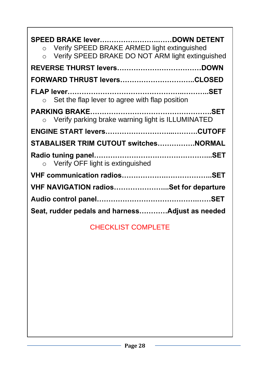| o Verify SPEED BRAKE ARMED light extinguished<br>Verify SPEED BRAKE DO NOT ARM light extinguished<br>$\Omega$ |
|---------------------------------------------------------------------------------------------------------------|
|                                                                                                               |
| FORWARD THRUST leversCLOSED                                                                                   |
| Set the flap lever to agree with flap position<br>$\circ$                                                     |
| Verify parking brake warning light is ILLUMINATED<br>$\circ$                                                  |
|                                                                                                               |
|                                                                                                               |
| STABALISER TRIM CUTOUT switchesNORMAL                                                                         |
| o Verify OFF light is extinguished                                                                            |
|                                                                                                               |
| VHF NAVIGATION radiosSet for departure                                                                        |
|                                                                                                               |

CHECKLIST COMPLETE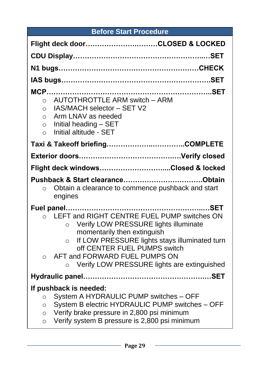#### **Before Start Procedure**

| Flight deck doorCLOSED & LOCKED                                                                                                                                                                                                      |
|--------------------------------------------------------------------------------------------------------------------------------------------------------------------------------------------------------------------------------------|
|                                                                                                                                                                                                                                      |
|                                                                                                                                                                                                                                      |
|                                                                                                                                                                                                                                      |
|                                                                                                                                                                                                                                      |
| AUTOTHROTTLE ARM switch - ARM<br>$\circ$<br>IAS/MACH selector - SET V2<br>$\circ$                                                                                                                                                    |
| Arm LNAV as needed<br>$\Omega$                                                                                                                                                                                                       |
| Initial heading – SET<br>$\circ$<br>Initial altitude - SET<br>$\circ$                                                                                                                                                                |
|                                                                                                                                                                                                                                      |
|                                                                                                                                                                                                                                      |
| Flight deck windowsClosed & locked                                                                                                                                                                                                   |
|                                                                                                                                                                                                                                      |
| Obtain a clearance to commence pushback and start<br>engines                                                                                                                                                                         |
|                                                                                                                                                                                                                                      |
| o LEFT and RIGHT CENTRE FUEL PUMP switches ON<br>Verify LOW PRESSURE lights illuminate<br>$\circ$<br>momentarily then extinguish                                                                                                     |
| If LOW PRESSURE lights stays illuminated turn<br>$\circ$<br>off CENTER FUEL PUMPS switch                                                                                                                                             |
| AFT and FORWARD FUEL PUMPS ON<br>$\circ$<br>Verify LOW PRESSURE lights are extinguished<br>$\circ$                                                                                                                                   |
|                                                                                                                                                                                                                                      |
| If pushback is needed:                                                                                                                                                                                                               |
| System A HYDRAULIC PUMP switches - OFF<br>$\circ$<br>System B electric HYDRAULIC PUMP switches - OFF<br>$\circ$<br>Verify brake pressure in 2,800 psi minimum<br>$\circ$<br>Verify system B pressure is 2,800 psi minimum<br>$\circ$ |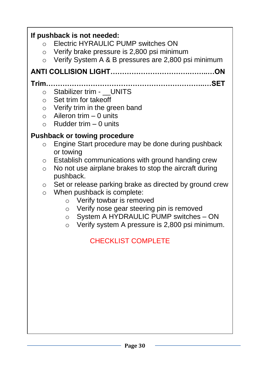#### **If pushback is not needed:**

- o Electric HYRAULIC PUMP switches ON
- o Verify brake pressure is 2,800 psi minimum
- o Verify System A & B pressures are 2,800 psi minimum

# **ANTI COLLISION LIGHT…………………………….……..…ON**

#### **Trim…………………………………………………………..…SET**

- $\circ$  Stabilizer trim LINITS
- o Set trim for takeoff
- $\circ$  Verify trim in the green band
- $\circ$  Aileron trim 0 units
- $\circ$  Rudder trim 0 units

#### **Pushback or towing procedure**

- o Engine Start procedure may be done during pushback or towing
- o Establish communications with ground handing crew
- o No not use airplane brakes to stop the aircraft during pushback.
- o Set or release parking brake as directed by ground crew
- o When pushback is complete:
	- o Verify towbar is removed
	- o Verify nose gear steering pin is removed
	- o System A HYDRAULIC PUMP switches ON
	- o Verify system A pressure is 2,800 psi minimum.

# CHECKLIST COMPLETE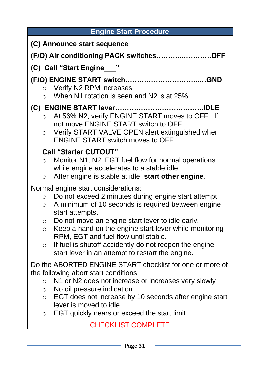| <b>Engine Start Procedure</b>                                                                                                                                                                                                                                                                                                                                                                                                                                                                   |  |  |
|-------------------------------------------------------------------------------------------------------------------------------------------------------------------------------------------------------------------------------------------------------------------------------------------------------------------------------------------------------------------------------------------------------------------------------------------------------------------------------------------------|--|--|
| (C) Announce start sequence                                                                                                                                                                                                                                                                                                                                                                                                                                                                     |  |  |
| (F/O) Air conditioning PACK switchesOFF                                                                                                                                                                                                                                                                                                                                                                                                                                                         |  |  |
| (C) Call "Start Engine___"                                                                                                                                                                                                                                                                                                                                                                                                                                                                      |  |  |
| Verify N2 RPM increases<br>$\circ$<br>When N1 rotation is seen and N2 is at 25%<br>$\circ$                                                                                                                                                                                                                                                                                                                                                                                                      |  |  |
| At 56% N2, verify ENGINE START moves to OFF. If<br>$\circ$<br>not move ENGINE START switch to OFF.<br>o Verify START VALVE OPEN alert extinguished when<br>ENGINE START switch moves to OFF.                                                                                                                                                                                                                                                                                                    |  |  |
| <b>Call "Starter CUTOUT"</b><br>Monitor N1, N2, EGT fuel flow for normal operations<br>$\circ$<br>while engine accelerates to a stable idle.<br>After engine is stable at idle, start other engine.<br>$\circ$                                                                                                                                                                                                                                                                                  |  |  |
| Normal engine start considerations:<br>Do not exceed 2 minutes during engine start attempt.<br>$\circ$<br>A minimum of 10 seconds is required between engine<br>$\circ$<br>start attempts.<br>Do not move an engine start lever to idle early.<br>$\circ$<br>Keep a hand on the engine start lever while monitoring<br>$\circ$<br>RPM, EGT and fuel flow until stable.<br>If fuel is shutoff accidently do not reopen the engine<br>$\circ$<br>start lever in an attempt to restart the engine. |  |  |
| Do the ABORTED ENGINE START checklist for one or more of<br>the following abort start conditions:<br>N1 or N2 does not increase or increases very slowly<br>$\circ$<br>No oil pressure indication<br>$\circ$<br>EGT does not increase by 10 seconds after engine start<br>$\circ$<br>lever is moved to idle<br>EGT quickly nears or exceed the start limit.<br>$\circ$                                                                                                                          |  |  |
| <b>CHECKLIST COMPLETE</b>                                                                                                                                                                                                                                                                                                                                                                                                                                                                       |  |  |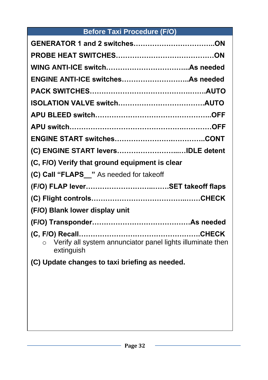## **Before Taxi Procedure (F/O)**

| (C, F/O) Verify that ground equipment is clear                                       |
|--------------------------------------------------------------------------------------|
| (C) Call "FLAPS " As needed for takeoff                                              |
|                                                                                      |
|                                                                                      |
|                                                                                      |
| (F/O) Blank lower display unit                                                       |
|                                                                                      |
| Verify all system annunciator panel lights illuminate then<br>$\Omega$<br>extinguish |
| (C) Update changes to taxi briefing as needed.                                       |
|                                                                                      |
|                                                                                      |
|                                                                                      |
|                                                                                      |

÷.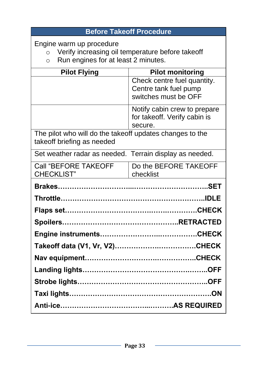| <b>Before Takeoff Procedure</b>                                                                                                           |                                                                              |  |
|-------------------------------------------------------------------------------------------------------------------------------------------|------------------------------------------------------------------------------|--|
| Engine warm up procedure<br>Verify increasing oil temperature before takeoff<br>$\circ$<br>Run engines for at least 2 minutes.<br>$\circ$ |                                                                              |  |
| <b>Pilot Flying</b>                                                                                                                       | <b>Pilot monitoring</b>                                                      |  |
|                                                                                                                                           | Check centre fuel quantity.<br>Centre tank fuel pump<br>switches must be OFF |  |
|                                                                                                                                           | Notify cabin crew to prepare<br>for takeoff. Verify cabin is<br>secure.      |  |
| The pilot who will do the takeoff updates changes to the<br>takeoff briefing as needed                                                    |                                                                              |  |
| Set weather radar as needed. Terrain display as needed.                                                                                   |                                                                              |  |
| Call "BEFORE TAKEOFF<br><b>CHECKLIST</b> "                                                                                                | Do the BEFORE TAKEOFF<br>checklist                                           |  |
|                                                                                                                                           |                                                                              |  |
|                                                                                                                                           |                                                                              |  |
|                                                                                                                                           |                                                                              |  |
|                                                                                                                                           |                                                                              |  |
|                                                                                                                                           |                                                                              |  |
|                                                                                                                                           |                                                                              |  |
|                                                                                                                                           |                                                                              |  |
|                                                                                                                                           |                                                                              |  |
|                                                                                                                                           |                                                                              |  |
|                                                                                                                                           |                                                                              |  |
|                                                                                                                                           |                                                                              |  |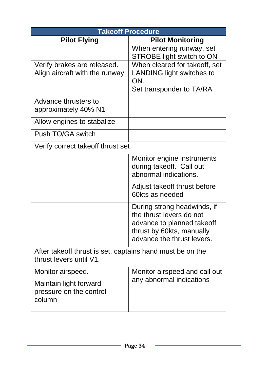| <b>Takeoff Procedure</b>                                                             |                                                                                                                                                  |
|--------------------------------------------------------------------------------------|--------------------------------------------------------------------------------------------------------------------------------------------------|
| <b>Pilot Flying</b>                                                                  | <b>Pilot Monitoring</b>                                                                                                                          |
|                                                                                      | When entering runway, set<br>STROBE light switch to ON                                                                                           |
| Verify brakes are released.<br>Align aircraft with the runway                        | When cleared for takeoff, set<br><b>LANDING light switches to</b><br>ON.<br>Set transponder to TA/RA                                             |
| Advance thrusters to<br>approximately 40% N1                                         |                                                                                                                                                  |
| Allow engines to stabalize                                                           |                                                                                                                                                  |
| Push TO/GA switch                                                                    |                                                                                                                                                  |
| Verify correct takeoff thrust set                                                    |                                                                                                                                                  |
|                                                                                      | Monitor engine instruments<br>during takeoff. Call out<br>abnormal indications.                                                                  |
|                                                                                      | Adjust takeoff thrust before<br>60kts as needed                                                                                                  |
|                                                                                      | During strong headwinds, if<br>the thrust levers do not<br>advance to planned takeoff<br>thrust by 60kts, manually<br>advance the thrust levers. |
| After takeoff thrust is set, captains hand must be on the<br>thrust levers until V1. |                                                                                                                                                  |
| Monitor airspeed.                                                                    | Monitor airspeed and call out                                                                                                                    |
| Maintain light forward<br>pressure on the control<br>column                          | any abnormal indications                                                                                                                         |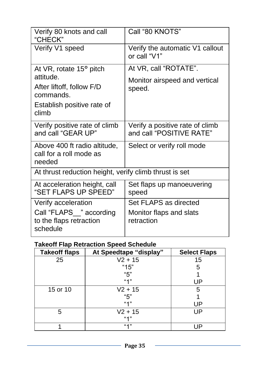| Verify 80 knots and call<br>"CHECK"                    | Call "80 KNOTS"                                 |
|--------------------------------------------------------|-------------------------------------------------|
| Verify V1 speed                                        | Verify the automatic V1 callout<br>or call "V1" |
| At VR, rotate 15 <sup>o</sup> pitch                    | At VR, call "ROTATE".                           |
| attitude.                                              | Monitor airspeed and vertical                   |
| After liftoff, follow F/D<br>commands.                 | speed.                                          |
| Establish positive rate of<br>climb                    |                                                 |
| Verify positive rate of climb                          | Verify a positive rate of climb                 |
| and call "GFAR UP"                                     | and call "POSITIVE RATE"                        |
| Above 400 ft radio altitude,                           | Select or verify roll mode                      |
| call for a roll mode as<br>needed                      |                                                 |
| At thrust reduction height, verify climb thrust is set |                                                 |
|                                                        |                                                 |
| At acceleration height, call<br>"SET FLAPS UP SPEED"   | Set flaps up manoeuvering<br>speed              |
| Verify acceleration                                    | Set FLAPS as directed                           |
| Call "FLAPS " according                                | Monitor flaps and slats                         |
| to the flaps retraction                                | retraction                                      |
| schedule                                               |                                                 |

#### **Takeoff Flap Retraction Speed Schedule**

| <b>Takeoff flaps</b> | At Speedtape "display" | <b>Select Flaps</b> |
|----------------------|------------------------|---------------------|
| 25                   | $V2 + 15$              | 15                  |
|                      | "15"                   | 5                   |
|                      | "5"                    |                     |
|                      | 64, 99                 | UP                  |
| 15 or 10             | $V2 + 15$              | 5                   |
|                      | "5"                    |                     |
|                      | 64, 99                 | UP                  |
| 5                    | $V2 + 15$              | UP                  |
|                      | 44.9                   |                     |
|                      | 64, 99                 | ΙP                  |

ä.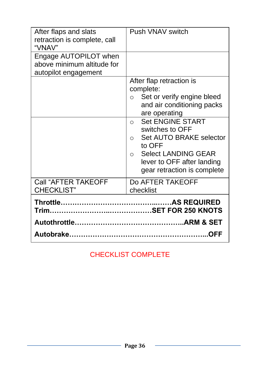| After flaps and slats<br>retraction is complete, call<br>"VNAV"<br>Engage AUTOPILOT when<br>above minimum altitude for<br>autopilot engagement | Push VNAV switch                                                                                                                                                                                                                                                                                                                        |
|------------------------------------------------------------------------------------------------------------------------------------------------|-----------------------------------------------------------------------------------------------------------------------------------------------------------------------------------------------------------------------------------------------------------------------------------------------------------------------------------------|
|                                                                                                                                                | After flap retraction is<br>complete:<br>Set or verify engine bleed<br>$\circ$<br>and air conditioning packs<br>are operating<br><b>Set ENGINE START</b><br>$\Omega$<br>switches to OFF<br>Set AUTO BRAKE selector<br>∩<br>to OFF<br><b>Select LANDING GEAR</b><br>$\circ$<br>lever to OFF after landing<br>gear retraction is complete |
| <b>Call "AFTER TAKEOFF</b><br><b>CHECKLIST</b> "                                                                                               | Do AFTER TAKEOFF<br>checklist                                                                                                                                                                                                                                                                                                           |
|                                                                                                                                                |                                                                                                                                                                                                                                                                                                                                         |
|                                                                                                                                                | <b>OFF</b>                                                                                                                                                                                                                                                                                                                              |

CHECKLIST COMPLETE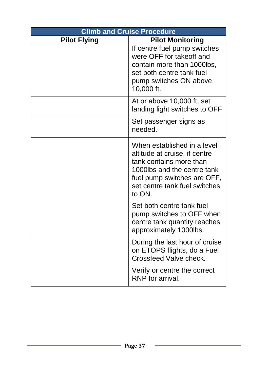| <b>Climb and Cruise Procedure</b> |                                                                                                                                                                                                  |
|-----------------------------------|--------------------------------------------------------------------------------------------------------------------------------------------------------------------------------------------------|
| <b>Pilot Flying</b>               | <b>Pilot Monitoring</b>                                                                                                                                                                          |
|                                   | If centre fuel pump switches<br>were OFF for takeoff and<br>contain more than 1000lbs,<br>set both centre tank fuel<br>pump switches ON above<br>10,000 ft.                                      |
|                                   | At or above 10,000 ft, set<br>landing light switches to OFF                                                                                                                                      |
|                                   | Set passenger signs as<br>needed.                                                                                                                                                                |
|                                   | When established in a level<br>altitude at cruise, if centre<br>tank contains more than<br>1000lbs and the centre tank<br>fuel pump switches are OFF,<br>set centre tank fuel switches<br>to ON. |
|                                   | Set both centre tank fuel<br>pump switches to OFF when<br>centre tank quantity reaches<br>approximately 1000lbs.                                                                                 |
|                                   | During the last hour of cruise<br>on ETOPS flights, do a Fuel<br>Crossfeed Valve check.                                                                                                          |
|                                   | Verify or centre the correct<br>RNP for arrival.                                                                                                                                                 |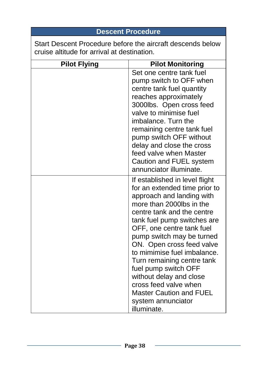#### **Descent Procedure**

Start Descent Procedure before the aircraft descends below cruise altitude for arrival at destination.

| <b>Pilot Flying</b> | <b>Pilot Monitoring</b>                                    |
|---------------------|------------------------------------------------------------|
|                     | Set one centre tank fuel                                   |
|                     | pump switch to OFF when                                    |
|                     | centre tank fuel quantity                                  |
|                     | reaches approximately                                      |
|                     | 3000lbs. Open cross feed                                   |
|                     | valve to minimise fuel                                     |
|                     | imbalance. Turn the                                        |
|                     | remaining centre tank fuel                                 |
|                     | pump switch OFF without                                    |
|                     | delay and close the cross                                  |
|                     | feed valve when Master                                     |
|                     | Caution and FUEL system<br>annunciator illuminate.         |
|                     |                                                            |
|                     | If established in level flight                             |
|                     | for an extended time prior to<br>approach and landing with |
|                     | more than 2000lbs in the                                   |
|                     | centre tank and the centre                                 |
|                     | tank fuel pump switches are                                |
|                     | OFF, one centre tank fuel                                  |
|                     | pump switch may be turned                                  |
|                     | ON. Open cross feed valve                                  |
|                     | to mimimise fuel imbalance.                                |
|                     | Turn remaining centre tank                                 |
|                     | fuel pump switch OFF                                       |
|                     | without delay and close                                    |
|                     | cross feed valve when                                      |
|                     | <b>Master Caution and FUEL</b>                             |
|                     | system annunciator                                         |
|                     | illuminate.                                                |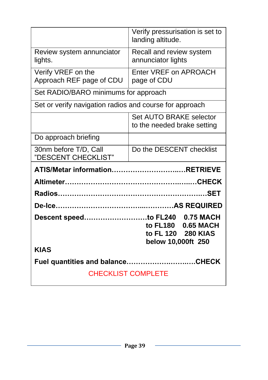|                                                                                                                       | Verify pressurisation is set to<br>landing altitude.   |  |
|-----------------------------------------------------------------------------------------------------------------------|--------------------------------------------------------|--|
| Review system annunciator<br>lights.                                                                                  | Recall and review system<br>annunciator lights         |  |
| Verify VREF on the<br>Approach REF page of CDU                                                                        | Enter VREF on APROACH<br>page of CDU                   |  |
| Set RADIO/BARO minimums for approach                                                                                  |                                                        |  |
| Set or verify navigation radios and course for approach                                                               |                                                        |  |
|                                                                                                                       | Set AUTO BRAKE selector<br>to the needed brake setting |  |
| Do approach briefing                                                                                                  |                                                        |  |
| 30nm before T/D, Call<br>"DESCENT CHECKLIST"                                                                          | Do the DESCENT checklist                               |  |
|                                                                                                                       |                                                        |  |
|                                                                                                                       |                                                        |  |
|                                                                                                                       |                                                        |  |
|                                                                                                                       |                                                        |  |
| Descent speedto FL240<br><b>0.75 MACH</b><br>to FL180<br><b>0.65 MACH</b><br>to FL 120 280 KIAS<br>below 10,000ft 250 |                                                        |  |
| <b>KIAS</b>                                                                                                           |                                                        |  |
| Fuel quantities and balanceCHECK                                                                                      |                                                        |  |
| <b>CHECKLIST COMPLETE</b>                                                                                             |                                                        |  |
|                                                                                                                       |                                                        |  |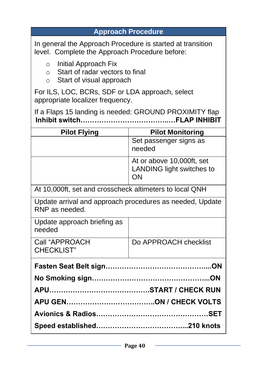| <b>Approach Procedure</b>                                                                                            |                                                              |  |
|----------------------------------------------------------------------------------------------------------------------|--------------------------------------------------------------|--|
| In general the Approach Procedure is started at transition<br>level. Complete the Approach Procedure before:         |                                                              |  |
| Initial Approach Fix<br>$\circ$<br>Start of radar vectors to final<br>$\circ$<br>Start of visual approach<br>$\circ$ |                                                              |  |
| For ILS, LOC, BCRs, SDF or LDA approach, select<br>appropriate localizer frequency.                                  |                                                              |  |
| If a Flaps 15 landing is needed: GROUND PROXIMITY flap                                                               |                                                              |  |
| <b>Pilot Flying</b>                                                                                                  | <b>Pilot Monitoring</b>                                      |  |
|                                                                                                                      | Set passenger signs as<br>needed                             |  |
|                                                                                                                      | At or above 10,000ft, set<br>LANDING light switches to<br>ON |  |
| At 10,000ft, set and crosscheck altimeters to local QNH                                                              |                                                              |  |
| Update arrival and approach procedures as needed, Update<br>RNP as needed.                                           |                                                              |  |
| Update approach briefing as<br>needed                                                                                |                                                              |  |
| Call "APPROACH<br><b>CHECKLIST</b> "                                                                                 | Do APPROACH checklist                                        |  |
|                                                                                                                      |                                                              |  |
|                                                                                                                      |                                                              |  |
|                                                                                                                      |                                                              |  |
|                                                                                                                      |                                                              |  |
| .SET                                                                                                                 |                                                              |  |
|                                                                                                                      |                                                              |  |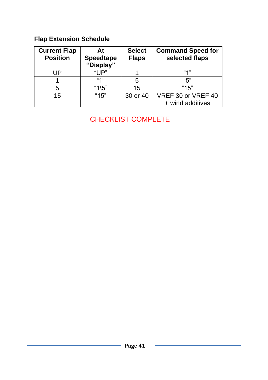#### **Flap Extension Schedule**

| <b>Current Flap</b><br><b>Position</b> | At<br><b>Speedtape</b><br>"Display" | <b>Select</b><br><b>Flaps</b> | <b>Command Speed for</b><br>selected flaps |
|----------------------------------------|-------------------------------------|-------------------------------|--------------------------------------------|
| -IP                                    | "I IP"                              |                               | (14)                                       |
|                                        | 64.43                               |                               | "5"                                        |
|                                        | "1\5"                               | 15                            | "15"                                       |
| 15                                     | "15"                                | 30 or 40                      | VREF 30 or VREF 40                         |
|                                        |                                     |                               | + wind additives                           |

CHECKLIST COMPLETE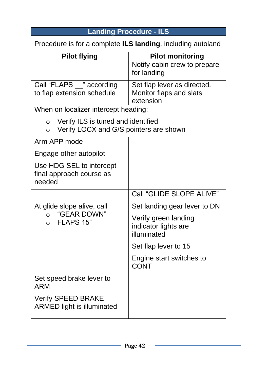| <b>Landing Procedure - ILS</b>                                                                     |                                                                     |  |
|----------------------------------------------------------------------------------------------------|---------------------------------------------------------------------|--|
| Procedure is for a complete ILS landing, including autoland                                        |                                                                     |  |
| <b>Pilot monitoring</b><br><b>Pilot flying</b>                                                     |                                                                     |  |
|                                                                                                    | Notify cabin crew to prepare<br>for landing                         |  |
| Call "FLAPS " according<br>to flap extension schedule                                              | Set flap lever as directed.<br>Monitor flaps and slats<br>extension |  |
| When on localizer intercept heading:                                                               |                                                                     |  |
| Verify ILS is tuned and identified<br>$\circ$<br>Verify LOCX and G/S pointers are shown<br>$\circ$ |                                                                     |  |
| Arm APP mode                                                                                       |                                                                     |  |
| Engage other autopilot                                                                             |                                                                     |  |
| Use HDG SEL to intercept<br>final approach course as<br>needed                                     |                                                                     |  |
|                                                                                                    | Call "GLIDE SLOPE ALIVE"                                            |  |
| At glide slope alive, call                                                                         | Set landing gear lever to DN                                        |  |
| "GEAR DOWN"<br>$\Omega$<br>FLAPS 15"<br>$\Omega$                                                   | Verify green landing<br>indicator lights are<br>illuminated         |  |
|                                                                                                    | Set flap lever to 15                                                |  |
|                                                                                                    | Engine start switches to<br><b>CONT</b>                             |  |
| Set speed brake lever to<br><b>ARM</b>                                                             |                                                                     |  |
| <b>Verify SPEED BRAKE</b><br><b>ARMED light is illuminated</b>                                     |                                                                     |  |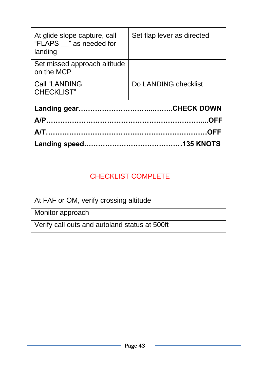| At glide slope capture, call<br>"FLAPS " as needed for<br>landing | Set flap lever as directed |
|-------------------------------------------------------------------|----------------------------|
| Set missed approach altitude<br>on the MCP                        |                            |
| Call "LANDING<br><b>CHECKLIST</b> "                               | Do LANDING checklist       |
|                                                                   | OFF                        |

# CHECKLIST COMPLETE

At FAF or OM, verify crossing altitude

Monitor approach

Verify call outs and autoland status at 500ft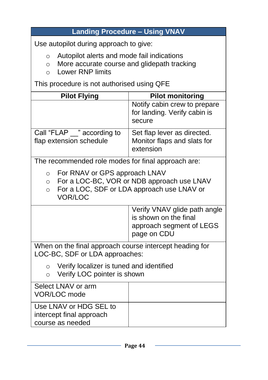| <b>Landing Procedure - Using VNAV</b>                                                                                                                                        |                                                                                                  |  |
|------------------------------------------------------------------------------------------------------------------------------------------------------------------------------|--------------------------------------------------------------------------------------------------|--|
| Use autopilot during approach to give:                                                                                                                                       |                                                                                                  |  |
| Autopilot alerts and mode fail indications<br>$\circ$<br>More accurate course and glidepath tracking<br>$\circ$<br><b>Lower RNP limits</b><br>$\circ$                        |                                                                                                  |  |
| This procedure is not authorised using QFE                                                                                                                                   |                                                                                                  |  |
| <b>Pilot Flying</b>                                                                                                                                                          | <b>Pilot monitoring</b>                                                                          |  |
|                                                                                                                                                                              | Notify cabin crew to prepare<br>for landing. Verify cabin is<br>secure                           |  |
| Call "FLAP " according to<br>flap extension schedule                                                                                                                         | Set flap lever as directed.<br>Monitor flaps and slats for<br>extension                          |  |
| The recommended role modes for final approach are:                                                                                                                           |                                                                                                  |  |
| For RNAV or GPS approach LNAV<br>$\circ$<br>For a LOC-BC, VOR or NDB approach use LNAV<br>$\circ$<br>For a LOC, SDF or LDA approach use LNAV or<br>$\circ$<br><b>VOR/LOC</b> |                                                                                                  |  |
|                                                                                                                                                                              | Verify VNAV glide path angle<br>is shown on the final<br>approach segment of LEGS<br>page on CDU |  |
| When on the final approach course intercept heading for<br>LOC-BC, SDF or LDA approaches:                                                                                    |                                                                                                  |  |
| Verify localizer is tuned and identified<br>$\circ$<br>Verify LOC pointer is shown<br>$\circ$                                                                                |                                                                                                  |  |
| Select LNAV or arm<br>VOR/LOC mode                                                                                                                                           |                                                                                                  |  |
| Use LNAV or HDG SEL to<br>intercept final approach<br>course as needed                                                                                                       |                                                                                                  |  |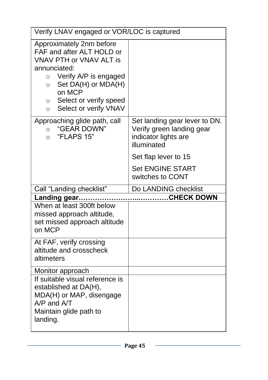| Verify LNAV engaged or VOR/LOC is captured                                                                                                                                                                                                             |                                                                                                   |  |
|--------------------------------------------------------------------------------------------------------------------------------------------------------------------------------------------------------------------------------------------------------|---------------------------------------------------------------------------------------------------|--|
| Approximately 2nm before<br>FAF and after ALT HOLD or<br>VNAV PTH or VNAV ALT is<br>annunciated:<br>Verify A/P is engaged<br>$\circ$<br>Set DA(H) or MDA(H)<br>$\circ$<br>on MCP<br>$\circ$ Select or verify speed<br>Select or verify VNAV<br>$\circ$ |                                                                                                   |  |
| Approaching glide path, call<br>"GEAR DOWN"<br>$\circ$<br>"FLAPS 15"<br>$\circ$                                                                                                                                                                        | Set landing gear lever to DN.<br>Verify green landing gear<br>indicator lights are<br>illuminated |  |
|                                                                                                                                                                                                                                                        | Set flap lever to 15                                                                              |  |
|                                                                                                                                                                                                                                                        | <b>Set ENGINE START</b><br>switches to CONT                                                       |  |
| Call "Landing checklist"                                                                                                                                                                                                                               | Do LANDING checklist                                                                              |  |
| Landing gear                                                                                                                                                                                                                                           | <b>CHECK DOWN</b>                                                                                 |  |
| When at least 300ft below<br>missed approach altitude,<br>set missed approach altitude<br>on MCP                                                                                                                                                       |                                                                                                   |  |
| At FAF, verify crossing<br>altitude and crosscheck<br>altimeters                                                                                                                                                                                       |                                                                                                   |  |
| Monitor approach                                                                                                                                                                                                                                       |                                                                                                   |  |
| If suitable visual reference is<br>established at DA(H),<br>MDA(H) or MAP, disengage<br>$A/P$ and $A/T$<br>Maintain glide path to<br>landing.                                                                                                          |                                                                                                   |  |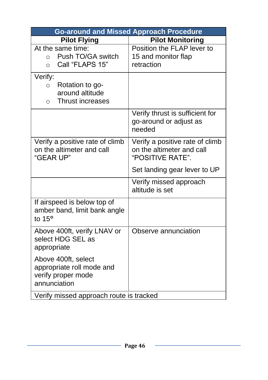|                                                                                        | <b>Go-around and Missed Approach Procedure</b>                                   |
|----------------------------------------------------------------------------------------|----------------------------------------------------------------------------------|
| <b>Pilot Flying</b>                                                                    | <b>Pilot Monitoring</b>                                                          |
| At the same time:<br>Push TO/GA switch<br>$\circ$<br>Call "FLAPS 15"<br>$\circ$        | Position the FLAP lever to<br>15 and monitor flap<br>retraction                  |
| Verify:<br>Rotation to go-<br>$\circ$<br>around altitude<br>Thrust increases<br>O      |                                                                                  |
|                                                                                        | Verify thrust is sufficient for<br>go-around or adjust as<br>needed              |
| Verify a positive rate of climb<br>on the altimeter and call<br>"GEAR UP"              | Verify a positive rate of climb<br>on the altimeter and call<br>"POSITIVE RATE". |
|                                                                                        | Set landing gear lever to UP                                                     |
|                                                                                        | Verify missed approach<br>altitude is set                                        |
| If airspeed is below top of<br>amber band, limit bank angle<br>to 15°                  |                                                                                  |
| Above 400ft, verify LNAV or<br>select HDG SEL as<br>appropriate                        | Observe annunciation                                                             |
| Above 400ft, select<br>appropriate roll mode and<br>verify proper mode<br>annunciation |                                                                                  |
| Verify missed approach route is tracked                                                |                                                                                  |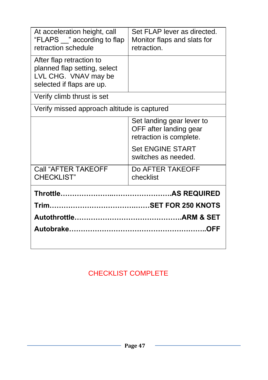| At acceleration height, call<br>"FLAPS " according to flap<br>retraction schedule                             | Set FLAP lever as directed.<br>Monitor flaps and slats for<br>retraction.      |
|---------------------------------------------------------------------------------------------------------------|--------------------------------------------------------------------------------|
| After flap retraction to<br>planned flap setting, select<br>LVL CHG. VNAV may be<br>selected if flaps are up. |                                                                                |
| Verify climb thrust is set                                                                                    |                                                                                |
| Verify missed approach altitude is captured                                                                   |                                                                                |
|                                                                                                               | Set landing gear lever to<br>OFF after landing gear<br>retraction is complete. |
|                                                                                                               | <b>Set ENGINE START</b><br>switches as needed.                                 |
| Call "AFTER TAKEOFF<br><b>CHECKLIST</b> "                                                                     | Do AFTER TAKEOFF<br>checklist                                                  |
| Throttle…………………………………………AS REQUIRED                                                                           |                                                                                |
| Trim………………………………………SET FOR 250 KNOTS                                                                          |                                                                                |
|                                                                                                               |                                                                                |
| .OFF                                                                                                          |                                                                                |
|                                                                                                               |                                                                                |

### CHECKLIST COMPLETE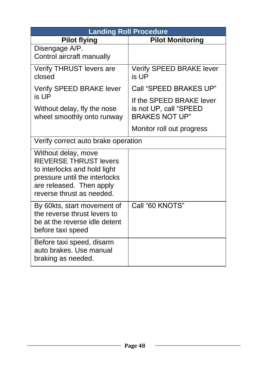| <b>Landing Roll Procedure</b>                                                                                                                                                 |                                                                             |  |
|-------------------------------------------------------------------------------------------------------------------------------------------------------------------------------|-----------------------------------------------------------------------------|--|
| <b>Pilot flying</b>                                                                                                                                                           | <b>Pilot Monitoring</b>                                                     |  |
| Disengage A/P.<br>Control aircraft manually                                                                                                                                   |                                                                             |  |
| <b>Verify THRUST levers are</b><br>closed                                                                                                                                     | <b>Verify SPEED BRAKE lever</b><br>is UP                                    |  |
| <b>Verify SPEED BRAKE lever</b>                                                                                                                                               | Call "SPEED BRAKES UP"                                                      |  |
| is UP<br>Without delay, fly the nose<br>wheel smoothly onto runway                                                                                                            | If the SPEED BRAKE lever<br>is not UP, call "SPEED<br><b>BRAKES NOT UP"</b> |  |
|                                                                                                                                                                               | Monitor roll out progress                                                   |  |
| Verify correct auto brake operation                                                                                                                                           |                                                                             |  |
| Without delay, move<br><b>REVERSE THRUST levers</b><br>to interlocks and hold light<br>pressure until the interlocks<br>are released. Then apply<br>reverse thrust as needed. |                                                                             |  |
| By 60kts, start movement of<br>the reverse thrust levers to<br>be at the reverse idle detent<br>before taxi speed                                                             | Call "60 KNOTS"                                                             |  |
| Before taxi speed, disarm<br>auto brakes. Use manual<br>braking as needed.                                                                                                    |                                                                             |  |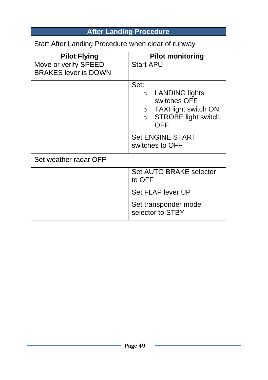| <b>After Landing Procedure</b>                      |                                                                                                                          |  |
|-----------------------------------------------------|--------------------------------------------------------------------------------------------------------------------------|--|
| Start After Landing Procedure when clear of runway  |                                                                                                                          |  |
| <b>Pilot Flying</b>                                 | <b>Pilot monitoring</b>                                                                                                  |  |
| Move or verify SPEED<br><b>BRAKES lever is DOWN</b> | <b>Start APU</b>                                                                                                         |  |
|                                                     | Set:<br>○ LANDING lights<br>switches OFF<br>$\circ$ TAXI light switch ON<br><b>STROBE light switch</b><br>$\circ$<br>OFF |  |
|                                                     | <b>Set ENGINE START</b><br>switches to OFF                                                                               |  |
| Set weather radar OFF                               |                                                                                                                          |  |
|                                                     | Set AUTO BRAKE selector<br>to OFF                                                                                        |  |
|                                                     | Set FLAP lever UP                                                                                                        |  |
|                                                     | Set transponder mode<br>selector to STBY                                                                                 |  |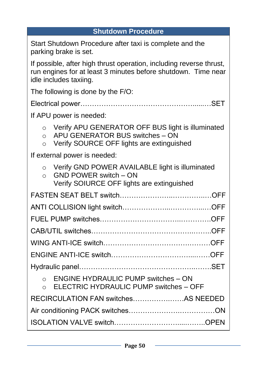| <b>Shutdown Procedure</b>                                                                                                                                             |
|-----------------------------------------------------------------------------------------------------------------------------------------------------------------------|
| Start Shutdown Procedure after taxi is complete and the<br>parking brake is set.                                                                                      |
| If possible, after high thrust operation, including reverse thrust,<br>run engines for at least 3 minutes before shutdown. Time near<br>idle includes taxiing.        |
| The following is done by the F/O:                                                                                                                                     |
|                                                                                                                                                                       |
| If APU power is needed:                                                                                                                                               |
| Verify APU GENERATOR OFF BUS light is illuminated<br>$\Omega$<br>APU GENERATOR BUS switches - ON<br>$\Omega$<br>Verify SOURCE OFF lights are extinguished<br>$\Omega$ |
| If external power is needed:                                                                                                                                          |
| Verify GND POWER AVAILABLE light is illuminated<br>$\circ$<br><b>GND POWER switch - ON</b><br>$\Omega$<br>Verify SOIURCE OFF lights are extinguished                  |
|                                                                                                                                                                       |
|                                                                                                                                                                       |
|                                                                                                                                                                       |
|                                                                                                                                                                       |
|                                                                                                                                                                       |
|                                                                                                                                                                       |
|                                                                                                                                                                       |
| <b>ENGINE HYDRAULIC PUMP switches - ON</b><br>$\Omega$<br>ELECTRIC HYDRAULIC PUMP switches - OFF<br>$\Omega$                                                          |
|                                                                                                                                                                       |
|                                                                                                                                                                       |
|                                                                                                                                                                       |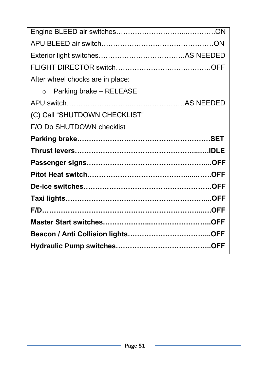| After wheel chocks are in place:   |  |
|------------------------------------|--|
| Parking brake - RELEASE<br>$\circ$ |  |
|                                    |  |
| (C) Call "SHUTDOWN CHECKLIST"      |  |
| F/O Do SHUTDOWN checklist          |  |
|                                    |  |
|                                    |  |
|                                    |  |
|                                    |  |
|                                    |  |
|                                    |  |
|                                    |  |
|                                    |  |
|                                    |  |
|                                    |  |
|                                    |  |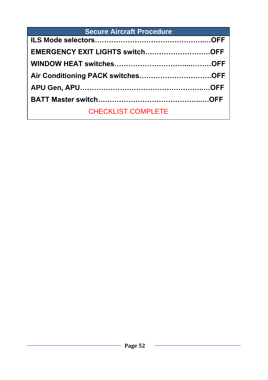#### **Secure Aircraft Procedure**

| EMERGENCY EXIT LIGHTS switchOFF |  |
|---------------------------------|--|
|                                 |  |
|                                 |  |
|                                 |  |
|                                 |  |
| <b>CHECKLIST COMPLETE</b>       |  |
|                                 |  |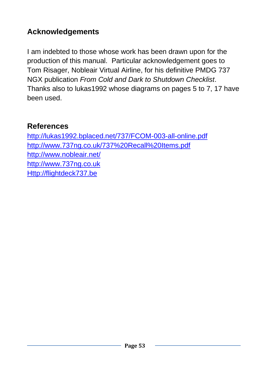# **Acknowledgements**

I am indebted to those whose work has been drawn upon for the production of this manual. Particular acknowledgement goes to Tom Risager, Nobleair Virtual Airline, for his definitive PMDG 737 NGX publication *From Cold and Dark to Shutdown Checklist*. Thanks also to lukas1992 whose diagrams on pages 5 to 7, 17 have been used.

#### **References**

<http://lukas1992.bplaced.net/737/FCOM-003-all-online.pdf> <http://www.737ng.co.uk/737%20Recall%20Items.pdf> <http://www.nobleair.net/> [http://www.737ng.co.uk](http://www.737ng.co.uk/) [Http://flightdeck737.be](http://flightdeck737.be/)